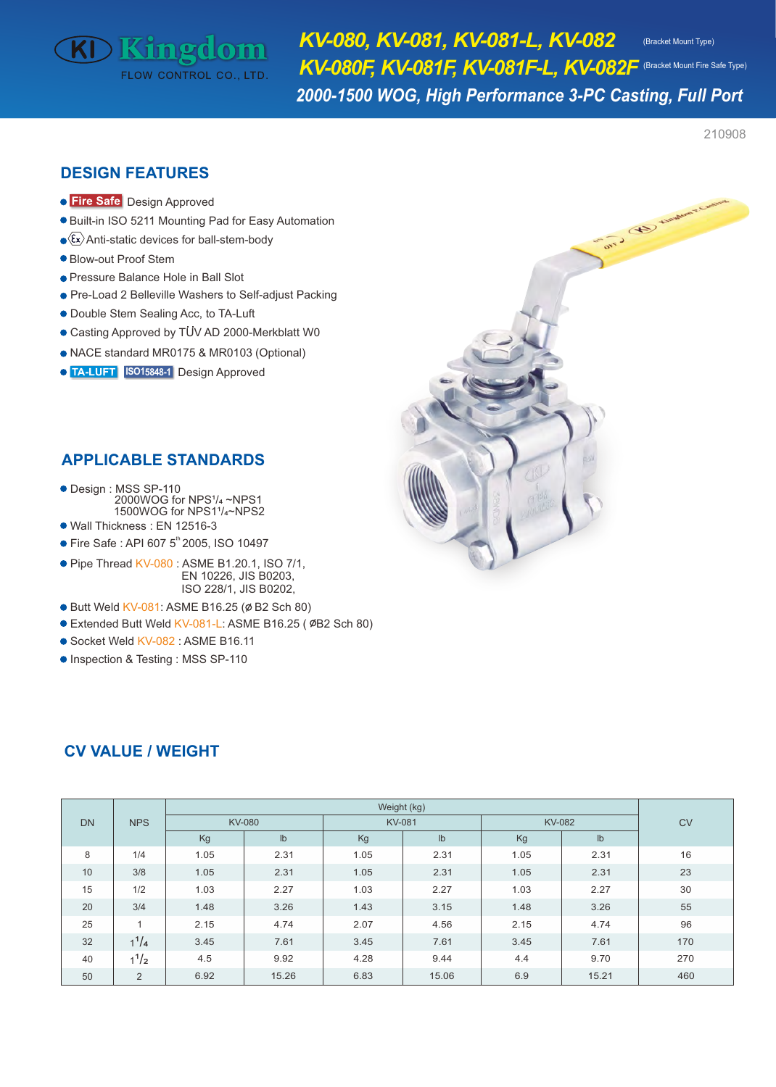# **KD Kingdom** FLOW CONTROL CO., LTD

*KV-080, KV-081, KV-081-L, KV-082 KV-080F, KV-081F, KV-081F-L, KV-082F* (Bracket Mount Fire Safe Type)

(Bracket Mount Type)

*2000-1500 WOG, High Performance 3-PC Casting, Full Port* 

210908

# **DESIGN FEATURES**

- **Fire Safe** Design Approved
- Built-in ISO 5211 Mounting Pad for Easy Automation
- $\langle \overline{\xi_x} \rangle$ Anti-static devices for ball-stem-body
- Blow-out Proof Stem
- **Pressure Balance Hole in Ball Slot**
- Pre-Load 2 Belleville Washers to Self-adjust Packing
- Double Stem Sealing Acc, to TA-Luft
- Casting Approved by TUV AD 2000-Merkblatt W0
- NACE standard MR0175 & MR0103 (Optional)
- **ISO15848-1** Design Approved

# **APPLICABLE STANDARDS**

- Design : MSS SP-110  $2000WOG$  for NPS $\frac{1}{4}$  ~NPS1 1500WOG for NPS1<sup>1</sup>/<sub>4</sub>~NPS2
- Wall Thickness : EN 12516-3
- Fire Safe : API 607 5<sup>th</sup> 2005, ISO 10497
- $\bullet$  Pipe Thread KV-080 : ASME B1.20.1, ISO 7/1, EN 10226, JIS B0203, ISO 228/1, JIS B0202,
- Butt Weld KV-081: ASME B16.25 (Ø B2 Sch 80)
- Extended Butt Weld KV-081-L: ASME B16.25 (ØB2 Sch 80)
- Socket Weld KV-082 : ASME B16.11
- **Inspection & Testing : MSS SP-110**

| <b>DN</b> | <b>NPS</b>   | Weight (kg)   |               |               |               |               |               |     |  |  |  |  |  |  |
|-----------|--------------|---------------|---------------|---------------|---------------|---------------|---------------|-----|--|--|--|--|--|--|
|           |              | <b>KV-080</b> |               | <b>KV-081</b> |               | <b>KV-082</b> | <b>CV</b>     |     |  |  |  |  |  |  |
|           |              | Kg            | $\mathsf{lb}$ | Kg            | $\mathsf{lb}$ | Kg            | $\mathsf{lb}$ |     |  |  |  |  |  |  |
| 8         | 1/4          | 1.05          | 2.31          | 1.05          | 2.31          | 1.05          | 2.31          | 16  |  |  |  |  |  |  |
| 10        | 3/8          | 1.05          | 2.31          | 1.05          | 2.31          | 1.05          | 2.31          | 23  |  |  |  |  |  |  |
| 15        | 1/2          | 1.03          | 2.27          | 1.03          | 2.27          | 1.03          | 2.27          | 30  |  |  |  |  |  |  |
| 20        | 3/4          | 1.48          | 3.26          | 1.43          | 3.15          | 1.48          | 3.26          | 55  |  |  |  |  |  |  |
| 25        | $\mathbf{1}$ | 2.15          | 4.74          | 2.07          | 4.56          | 2.15          | 4.74          | 96  |  |  |  |  |  |  |
| 32        | $1^{1}/4$    | 3.45          | 7.61          | 3.45          | 7.61          | 3.45          | 7.61          | 170 |  |  |  |  |  |  |
| 40        | $1^{1/2}$    | 4.5           | 9.92          | 4.28          | 9.44          | 4.4           | 9.70          | 270 |  |  |  |  |  |  |
| 50        | 2            | 6.92          | 15.26         | 6.83          | 15.06         | 6.9           | 15.21         | 460 |  |  |  |  |  |  |

# **CV VALUE / WEIGHT**

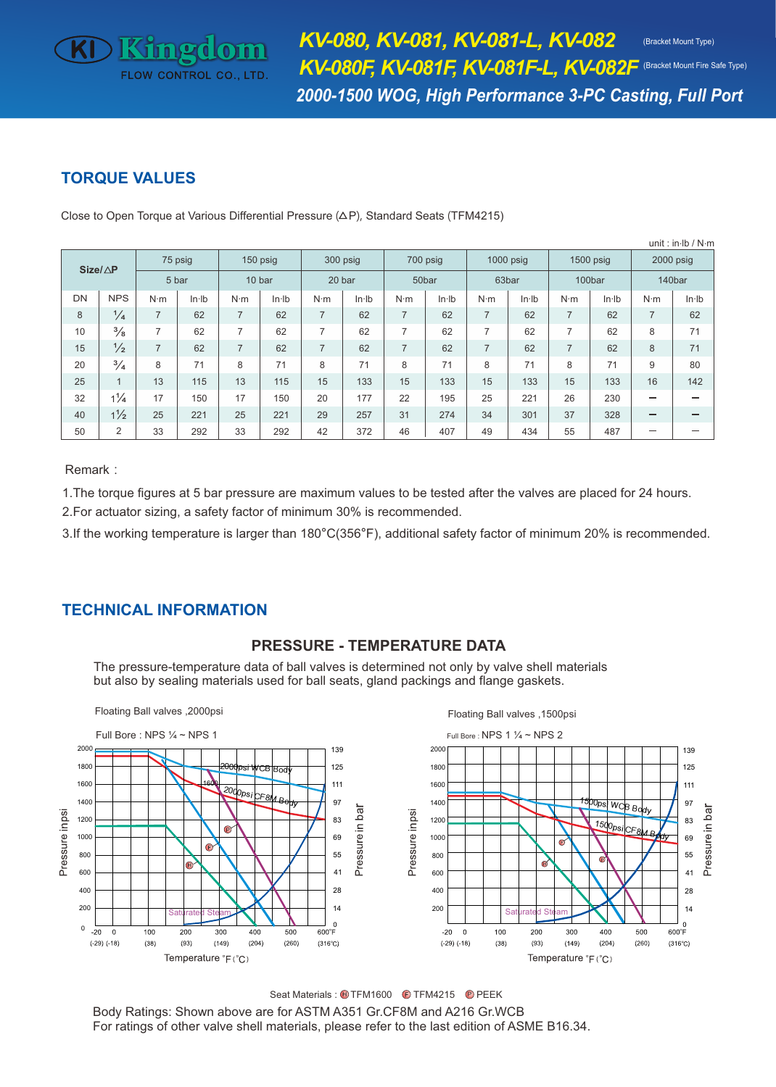# **TORQUE VALUES**

KD Kingdom

**FLOW CONTROL CO., LTD** 

| unit: in $\mathsf{lb}/\mathsf{N}\mathsf{m}$ |                |                |       |                |       |                |       |                |       |                |       |             |       |                |       |
|---------------------------------------------|----------------|----------------|-------|----------------|-------|----------------|-------|----------------|-------|----------------|-------|-------------|-------|----------------|-------|
| $Size/\triangle P$                          |                | 75 psig        |       | 150 psig       |       | 300 psig       |       | 700 psig       |       | $1000$ psig    |       | $1500$ psig |       | 2000 psig      |       |
|                                             |                | 5 bar          |       | 10 bar         |       | 20 bar         |       | 50bar          |       | 63bar          |       | 100bar      |       | 140bar         |       |
| DN                                          | <b>NPS</b>     | $N \cdot m$    | ln·lb | $N \cdot m$    | ln·lb | $N \cdot m$    | ln·lb |                | ln·lb | $N \cdot m$    | ln·lb | $N \cdot m$ | ln·lb | $N \cdot m$    | ln·lb |
| 8                                           | $\frac{1}{4}$  | 7              | 62    | $\overline{7}$ | 62    | $\overline{7}$ | 62    | $\overline{7}$ | 62    | $\overline{7}$ | 62    |             | 62    | $\overline{7}$ | 62    |
| 10                                          | $\frac{3}{8}$  | 7              | 62    | 7              | 62    | $\overline{7}$ | 62    | $\overline{7}$ | 62    | $\overline{7}$ | 62    |             | 62    | 8              | 71    |
| 15                                          | $\frac{1}{2}$  | $\overline{7}$ | 62    | $\overline{7}$ | 62    | $\overline{7}$ | 62    | $\overline{7}$ | 62    | $\overline{7}$ | 62    |             | 62    | 8              | 71    |
| 20                                          | $\frac{3}{4}$  | 8              | 71    | 8              | 71    | 8              | 71    | 8              | 71    | 8              | 71    | 8           | 71    | 9              | 80    |
| 25                                          | 1              | 13             | 115   | 13             | 115   | 15             | 133   | 15             | 133   | 15             | 133   | 15          | 133   | 16             | 142   |
| 32                                          | $1\frac{1}{4}$ | 17             | 150   | 17             | 150   | 20             | 177   | 22             | 195   | 25             | 221   | 26          | 230   | –              | –     |
| 40                                          | $1\frac{1}{2}$ | 25             | 221   | 25             | 221   | 29             | 257   | 31             | 274   | 34             | 301   | 37          | 328   | –              | –     |
| 50                                          | $\overline{2}$ | 33             | 292   | 33             | 292   | 42             | 372   | 46             | 407   | 49             | 434   | 55          | 487   |                |       |

Close to Open Torque at Various Differential Pressure  $(\Delta P)$ , Standard Seats (TFM4215)

Remark:

1.The torque figures at 5 bar pressure are maximum values to be tested after the valves are placed for 24 hours. 2.For actuator sizing, a safety factor of minimum 30% is recommended.

3.If the working temperature is larger than 180°C(356°F), additional safety factor of minimum 20% is recommended.

# **TECHNICAL INFORMATION**

### **PRESSURE - TEMPERATURE DATA**

The pressure-temperature data of ball valves is determined not only by valve shell materials but also by sealing materials used for ball seats, gland packings and flange gaskets.



Seat Materials: U TFM1600 C TFM4215 C PEEK

Body Ratings: Shown above are for ASTM A351 Gr.CF8M and A216 Gr.WCB For ratings of other valve shell materials, please refer to the last edition of ASME B16.34.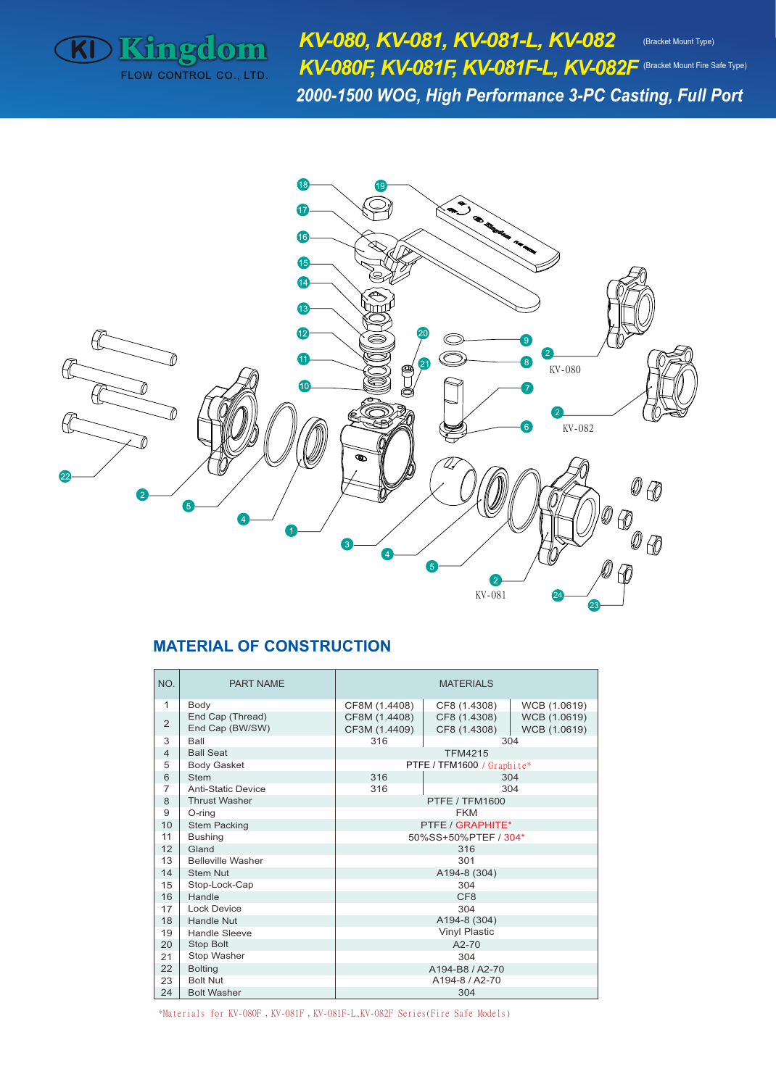

*KV-080, KV-081, KV-081-L, KV-082 KV-080F, KV-081F, KV-081F-L, KV-082F* (Bracket Mount Fire Safe Type)*2000-1500 WOG, High Performance 3-PC Casting, Full Port*  (Bracket Mount Type)



## **MATERIAL OF CONSTRUCTION**

| NO.            | <b>PART NAME</b>          | <b>MATERIALS</b>     |                            |              |  |  |  |  |  |  |
|----------------|---------------------------|----------------------|----------------------------|--------------|--|--|--|--|--|--|
| 1              | Body                      | CF8M (1.4408)        | CF8 (1.4308)               | WCB (1.0619) |  |  |  |  |  |  |
| $\overline{2}$ | End Cap (Thread)          | CF8M (1.4408)        | CF8 (1.4308)               | WCB (1.0619) |  |  |  |  |  |  |
|                | End Cap (BW/SW)           | CF3M (1.4409)        | WCB (1.0619)               |              |  |  |  |  |  |  |
| 3              | Ball                      | 316                  |                            | 304          |  |  |  |  |  |  |
| $\overline{4}$ | <b>Ball Seat</b>          |                      | <b>TFM4215</b>             |              |  |  |  |  |  |  |
| 5              | <b>Body Gasket</b>        |                      | PTFE / TFM1600 / Graphite* |              |  |  |  |  |  |  |
| 6              | <b>Stem</b>               | 316                  |                            | 304          |  |  |  |  |  |  |
| $\overline{7}$ | <b>Anti-Static Device</b> | 316                  |                            | 304          |  |  |  |  |  |  |
| 8              | <b>Thrust Washer</b>      |                      | PTFE / TFM1600             |              |  |  |  |  |  |  |
| 9              | O-ring                    | <b>FKM</b>           |                            |              |  |  |  |  |  |  |
| 10             | <b>Stem Packing</b>       | PTFE / GRAPHITE*     |                            |              |  |  |  |  |  |  |
| 11             | <b>Bushing</b>            | 50%SS+50%PTEF / 304* |                            |              |  |  |  |  |  |  |
| 12             | Gland                     | 316                  |                            |              |  |  |  |  |  |  |
| 13             | <b>Belleville Washer</b>  | 301                  |                            |              |  |  |  |  |  |  |
| 14             | <b>Stem Nut</b>           | A194-8 (304)         |                            |              |  |  |  |  |  |  |
| 15             | Stop-Lock-Cap             | 304                  |                            |              |  |  |  |  |  |  |
| 16             | Handle                    | CF <sub>8</sub>      |                            |              |  |  |  |  |  |  |
| 17             | Lock Device               | 304                  |                            |              |  |  |  |  |  |  |
| 18             | Handle Nut                | A194-8 (304)         |                            |              |  |  |  |  |  |  |
| 19             | Handle Sleeve             | <b>Vinyl Plastic</b> |                            |              |  |  |  |  |  |  |
| 20             | <b>Stop Bolt</b>          | $A2-70$              |                            |              |  |  |  |  |  |  |
| 21             | Stop Washer               | 304                  |                            |              |  |  |  |  |  |  |
| 22             | <b>Bolting</b>            | A194-B8 / A2-70      |                            |              |  |  |  |  |  |  |
| 23             | <b>Bolt Nut</b>           | A194-8 / A2-70       |                            |              |  |  |  |  |  |  |
| 24             | <b>Bolt Washer</b>        | 304                  |                            |              |  |  |  |  |  |  |

\*Materials for KV-080F,KV-081F,KV-081F-L,KV-082F Series(Fire Safe Models)